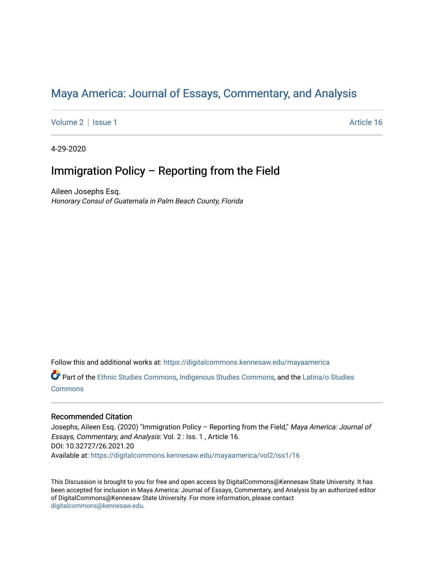# Maya America: Journal of Essays, Commentary, and Analysis

[Volume 2](https://digitalcommons.kennesaw.edu/mayaamerica/vol2) | [Issue 1](https://digitalcommons.kennesaw.edu/mayaamerica/vol2/iss1) Article 16

4-29-2020

## Immigration Policy – Reporting from the Field

Aileen Josephs Esq. Honorary Consul of Guatemala in Palm Beach County, Florida

Follow this and additional works at: [https://digitalcommons.kennesaw.edu/mayaamerica](https://digitalcommons.kennesaw.edu/mayaamerica?utm_source=digitalcommons.kennesaw.edu%2Fmayaamerica%2Fvol2%2Fiss1%2F16&utm_medium=PDF&utm_campaign=PDFCoverPages) 

Part of the [Ethnic Studies Commons](http://network.bepress.com/hgg/discipline/570?utm_source=digitalcommons.kennesaw.edu%2Fmayaamerica%2Fvol2%2Fiss1%2F16&utm_medium=PDF&utm_campaign=PDFCoverPages), [Indigenous Studies Commons](http://network.bepress.com/hgg/discipline/571?utm_source=digitalcommons.kennesaw.edu%2Fmayaamerica%2Fvol2%2Fiss1%2F16&utm_medium=PDF&utm_campaign=PDFCoverPages), and the [Latina/o Studies](http://network.bepress.com/hgg/discipline/1315?utm_source=digitalcommons.kennesaw.edu%2Fmayaamerica%2Fvol2%2Fiss1%2F16&utm_medium=PDF&utm_campaign=PDFCoverPages)  [Commons](http://network.bepress.com/hgg/discipline/1315?utm_source=digitalcommons.kennesaw.edu%2Fmayaamerica%2Fvol2%2Fiss1%2F16&utm_medium=PDF&utm_campaign=PDFCoverPages)

### Recommended Citation

Josephs, Aileen Esq. (2020) "Immigration Policy - Reporting from the Field," Maya America: Journal of Essays, Commentary, and Analysis: Vol. 2 : Iss. 1 , Article 16. DOI: 10.32727/26.2021.20 Available at: [https://digitalcommons.kennesaw.edu/mayaamerica/vol2/iss1/16](https://digitalcommons.kennesaw.edu/mayaamerica/vol2/iss1/16?utm_source=digitalcommons.kennesaw.edu%2Fmayaamerica%2Fvol2%2Fiss1%2F16&utm_medium=PDF&utm_campaign=PDFCoverPages)

This Discussion is brought to you for free and open access by DigitalCommons@Kennesaw State University. It has been accepted for inclusion in Maya America: Journal of Essays, Commentary, and Analysis by an authorized editor of DigitalCommons@Kennesaw State University. For more information, please contact [digitalcommons@kennesaw.edu.](mailto:digitalcommons@kennesaw.edu)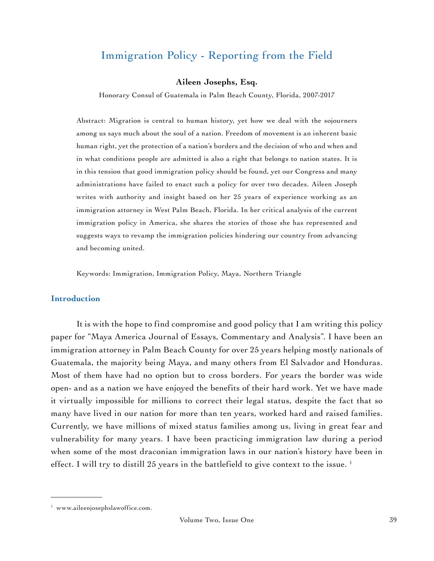## Immigration Policy - Reporting from the Field

#### **Aileen Josephs, Esq.**

Honorary Consul of Guatemala in Palm Beach County, Florida, 2007-2017

Abstract: Migration is central to human history, yet how we deal with the sojourners among us says much about the soul of a nation. Freedom of movement is an inherent basic human right, yet the protection of a nation's borders and the decision of who and when and in what conditions people are admitted is also a right that belongs to nation states. It is in this tension that good immigration policy should be found, yet our Congress and many administrations have failed to enact such a policy for over two decades. Aileen Joseph writes with authority and insight based on her 25 years of experience working as an immigration attorney in West Palm Beach, Florida. In her critical analysis of the current immigration policy in America, she shares the stories of those she has represented and suggests ways to revamp the immigration policies hindering our country from advancing and becoming united.

Keywords: Immigration, Immigration Policy, Maya, Northern Triangle

#### **Introduction**

It is with the hope to find compromise and good policy that I am writing this policy paper for "Maya America Journal of Essays, Commentary and Analysis". I have been an immigration attorney in Palm Beach County for over 25 years helping mostly nationals of Guatemala, the majority being Maya, and many others from El Salvador and Honduras. Most of them have had no option but to cross borders. For years the border was wide open- and as a nation we have enjoyed the benefits of their hard work. Yet we have made it virtually impossible for millions to correct their legal status, despite the fact that so many have lived in our nation for more than ten years, worked hard and raised families. Currently, we have millions of mixed status families among us, living in great fear and vulnerability for many years. I have been practicing immigration law during a period when some of the most draconian immigration laws in our nation's history have been in effect. I will try to distill 25 years in the battlefield to give context to the issue.<sup>1</sup>

<sup>1</sup> [www.aileenjosephslawoffice.com](http://www.aileenjosephslawoffice.com).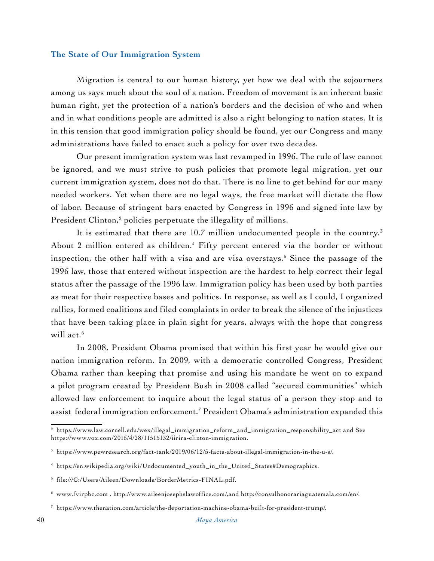### **The State of Our Immigration System**

Migration is central to our human history, yet how we deal with the sojourners among us says much about the soul of a nation. Freedom of movement is an inherent basic human right, yet the protection of a nation's borders and the decision of who and when and in what conditions people are admitted is also a right belonging to nation states. It is in this tension that good immigration policy should be found, yet our Congress and many administrations have failed to enact such a policy for over two decades.

Our present immigration system was last revamped in 1996. The rule of law cannot be ignored, and we must strive to push policies that promote legal migration, yet our current immigration system, does not do that. There is no line to get behind for our many needed workers. Yet when there are no legal ways, the free market will dictate the flow of labor. Because of stringent bars enacted by Congress in 1996 and signed into law by President Clinton,<sup>2</sup> policies perpetuate the illegality of millions.

It is estimated that there are  $10.7$  million undocumented people in the country.<sup>3</sup> About 2 million entered as children.<sup>4</sup> Fifty percent entered via the border or without inspection, the other half with a visa and are visa overstays.5 Since the passage of the 1996 law, those that entered without inspection are the hardest to help correct their legal status after the passage of the 1996 law. Immigration policy has been used by both parties as meat for their respective bases and politics. In response, as well as I could, I organized rallies, formed coalitions and filed complaints in order to break the silence of the injustices that have been taking place in plain sight for years, always with the hope that congress will act.<sup>6</sup>

In 2008, President Obama promised that within his first year he would give our nation immigration reform. In 2009, with a democratic controlled Congress, President Obama rather than keeping that promise and using his mandate he went on to expand a pilot program created by President Bush in 2008 called "secured communities" which allowed law enforcement to inquire about the legal status of a person they stop and to assist federal immigration enforcement.7 President Obama's administration expanded this

<sup>2</sup> [https://www.law.cornell.edu/wex/illegal\\_immigration\\_reform\\_and\\_immigration\\_responsibility\\_act](https://www.law.cornell.edu/wex/illegal_immigration_reform_and_immigration_responsibility_act) and See <https://www.vox.com/2016/4/28/11515132/iirira-clinton-immigration>.

 $3$  [https://www.pewresearch.org/fact-tank/2019/06/12/5-facts-about-illegal-immigration-in-the-u-s/.](https://www.pewresearch.org/fact-tank/2019/06/12/5-facts-about-illegal-immigration-in-the-u-s/)

<sup>4</sup> [https://en.wikipedia.org/wiki/Undocumented\\_youth\\_in\\_the\\_United\\_States#Demographics](https://en.wikipedia.org/wiki/Undocumented_youth_in_the_United_States#Demographics).

<sup>5</sup> file:///C:/Users/Aileen/Downloads/BorderMetrics-FINAL.pdf.

 $^6$  [www.fvirpbc.com](http://www.fvirpbc.com) , <http://www.aileenjosephslawoffice.com/,and>[http://consulhonorariaguatemala.com/en/.](http://consulhonorariaguatemala.com/en/)

<sup>7</sup> [https://www.thenation.com/article/the-deportation-machine-obama-built-for-president-trump/.](https://www.thenation.com/article/the-deportation-machine-obama-built-for-president-trump/)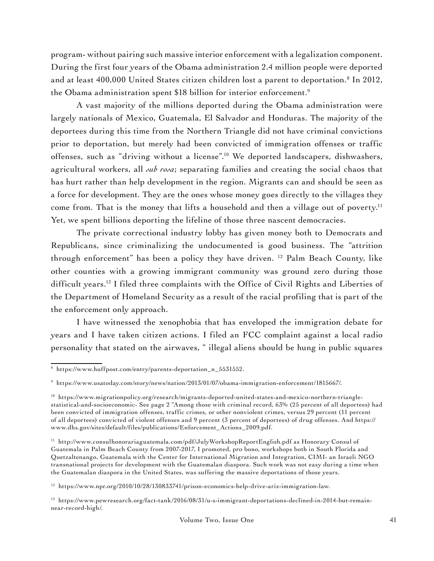program- without pairing such massive interior enforcement with a legalization component. During the first four years of the Obama administration 2.4 million people were deported and at least 400,000 United States citizen children lost a parent to deportation.8 In 2012, the Obama administration spent \$18 billion for interior enforcement.<sup>9</sup>

A vast majority of the millions deported during the Obama administration were largely nationals of Mexico, Guatemala, El Salvador and Honduras. The majority of the deportees during this time from the Northern Triangle did not have criminal convictions prior to deportation, but merely had been convicted of immigration offenses or traffic offenses, such as "driving without a license".10 We deported landscapers, dishwashers, agricultural workers, all *sub rosa*; separating families and creating the social chaos that has hurt rather than help development in the region. Migrants can and should be seen as a force for development. They are the ones whose money goes directly to the villages they come from. That is the money that lifts a household and then a village out of poverty.<sup>11</sup> Yet, we spent billions deporting the lifeline of those three nascent democracies.

The private correctional industry lobby has given money both to Democrats and Republicans, since criminalizing the undocumented is good business. The "attrition through enforcement" has been a policy they have driven. 12 Palm Beach County, like other counties with a growing immigrant community was ground zero during those difficult years.13 I filed three complaints with the Office of Civil Rights and Liberties of the Department of Homeland Security as a result of the racial profiling that is part of the the enforcement only approach.

I have witnessed the xenophobia that has enveloped the immigration debate for years and I have taken citizen actions. I filed an FCC complaint against a local radio personality that stated on the airwaves, " illegal aliens should be hung in public squares

<sup>8</sup> [https://www.huffpost.com/entry/parents-deportation\\_n\\_5531552](https://www.huffpost.com/entry/parents-deportation_n_5531552).

<sup>9</sup> <https://www.usatoday.com/story/news/nation/2013/01/07/obama-immigration-enforcement/1815667/>.

<sup>10</sup> [https://www.migrationpolicy.org/research/migrants-deported-united-states-and-mexico-northern-triangle](https://www.migrationpolicy.org/research/migrants-deported-united-states-and-mexico-northern-triangle-statistical-and-socioeconomic-)[statistical-and-socioeconomic-](https://www.migrationpolicy.org/research/migrants-deported-united-states-and-mexico-northern-triangle-statistical-and-socioeconomic-) See page 2 "Among those with criminal record, 63% (25 percent of all deportees) had been convicted of immigration offenses, traffic crimes, or other nonviolent crimes, versus 29 percent (11 percent of all deportees) convicted of violent offenses and 9 percent (3 percent of deportees) of drug offenses. And [https://](https://www.dhs.gov/sites/default/files/publications/Enforcement_Actions_2009.pdf) [www.dhs.gov/sites/default/files/publications/Enforcement\\_Actions\\_2009.pdf.](https://www.dhs.gov/sites/default/files/publications/Enforcement_Actions_2009.pdf)

<sup>11</sup> <http://www.consulhonorariaguatemala.com/pdf/JulyWorkshopReportEnglish.pdf> as Honorary Consul of Guatemala in Palm Beach County from 2007-2017, I promoted, pro bono, workshops both in South Florida and Quetzaltenango, Guatemala with the Center for International Migration and Integration, CIMI- an Israeli NGO transnational projects for development with the Guatemalan diaspora. Such work was not easy during a time when the Guatemalan diaspora in the United States, was suffering the massive deportations of those years.

<sup>12</sup> [https://www.npr.org/2010/10/28/130833741/prison-economics-help-drive-ariz-immigration-law.](https://www.npr.org/2010/10/28/130833741/prison-economics-help-drive-ariz-immigration-law)

<sup>13</sup> [https://www.pewresearch.org/fact-tank/2016/08/31/u-s-immigrant-deportations-declined-in-2014-but-remain](https://www.pewresearch.org/fact-tank/2016/08/31/u-s-immigrant-deportations-declined-in-2014-but-remain-near-record-high/)[near-record-high/.](https://www.pewresearch.org/fact-tank/2016/08/31/u-s-immigrant-deportations-declined-in-2014-but-remain-near-record-high/)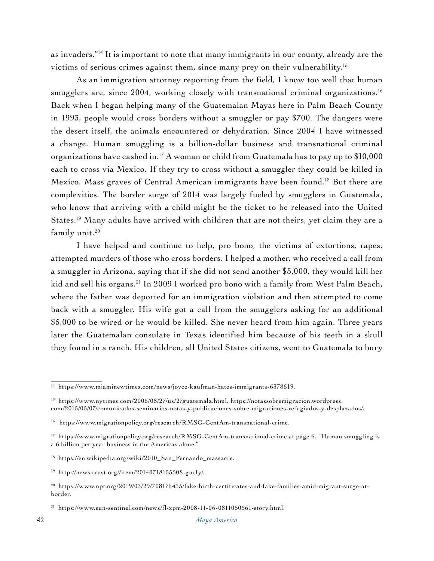as invaders."14 It is important to note that many immigrants in our county, already are the victims of serious crimes against them, since many prey on their vulnerability.15

As an immigration attorney reporting from the field, I know too well that human smugglers are, since 2004, working closely with transnational criminal organizations.<sup>16</sup> Back when I began helping many of the Guatemalan Mayas here in Palm Beach County in 1993, people would cross borders without a smuggler or pay \$700. The dangers were the desert itself, the animals encountered or dehydration. Since 2004 I have witnessed a change. Human smuggling is a billion-dollar business and transnational criminal organizations have cashed in.<sup>17</sup> A woman or child from Guatemala has to pay up to  $$10,000$ each to cross via Mexico. If they try to cross without a smuggler they could be killed in Mexico. Mass graves of Central American immigrants have been found.<sup>18</sup> But there are complexities. The border surge of 2014 was largely fueled by smugglers in Guatemala, who know that arriving with a child might be the ticket to be released into the United States.19 Many adults have arrived with children that are not theirs, yet claim they are a family unit.<sup>20</sup>

I have helped and continue to help, pro bono, the victims of extortions, rapes, attempted murders of those who cross borders. I helped a mother, who received a call from a smuggler in Arizona, saying that if she did not send another \$5,000, they would kill her kid and sell his organs.<sup>21</sup> In 2009 I worked pro bono with a family from West Palm Beach, where the father was deported for an immigration violation and then attempted to come back with a smuggler. His wife got a call from the smugglers asking for an additional \$5,000 to be wired or he would be killed. She never heard from him again. Three years later the Guatemalan consulate in Texas identified him because of his teeth in a skull they found in a ranch. His children, all United States citizens, went to Guatemala to bury

<sup>14</sup> <https://www.miaminewtimes.com/news/joyce-kaufman-hates-immigrants-6378519>.

<sup>15</sup> <https://www.nytimes.com/2006/08/27/us/27guatemala.html>, [https://notassobremigracion.wordpress.](https://notassobremigracion.wordpress.com/2015/05/07/comunicados-seminarios-notas-y-publicaciones-sobre-migraciones-refugiados-y-desplazados/) [com/2015/05/07/comunicados-seminarios-notas-y-publicaciones-sobre-migraciones-refugiados-y-desplazados/](https://notassobremigracion.wordpress.com/2015/05/07/comunicados-seminarios-notas-y-publicaciones-sobre-migraciones-refugiados-y-desplazados/).

<sup>16</sup> [https://www.migrationpolicy.org/research/RMSG-CentAm-transnational-crime.](https://www.migrationpolicy.org/research/RMSG-CentAm-transnational-crime)

<sup>17</sup> <https://www.migrationpolicy.org/research/RMSG-CentAm-transnational-crime> at page 6. "Human smuggling is a 6 billion per year business in the Americas alone."

<sup>18</sup> [https://en.wikipedia.org/wiki/2010\\_San\\_Fernando\\_massacre.](https://en.wikipedia.org/wiki/2010_San_Fernando_massacre)

 $19$  [http://news.trust.org//item/20140718155508-gucfy/.](http://news.trust.org//item/20140718155508-gucfy/)

<sup>20</sup> [https://www.npr.org/2019/03/29/708176435/fake-birth-certificates-and-fake-families-amid-migrant-surge-at](https://www.npr.org/2019/03/29/708176435/fake-birth-certificates-and-fake-families-amid-migrant-surge-at-border)[border](https://www.npr.org/2019/03/29/708176435/fake-birth-certificates-and-fake-families-amid-migrant-surge-at-border).

<sup>&</sup>lt;sup>21</sup> [https://www.sun-sentinel.com/news/fl-xpm-2008-11-06-0811050561-story.html.](https://www.sun-sentinel.com/news/fl-xpm-2008-11-06-0811050561-story.html)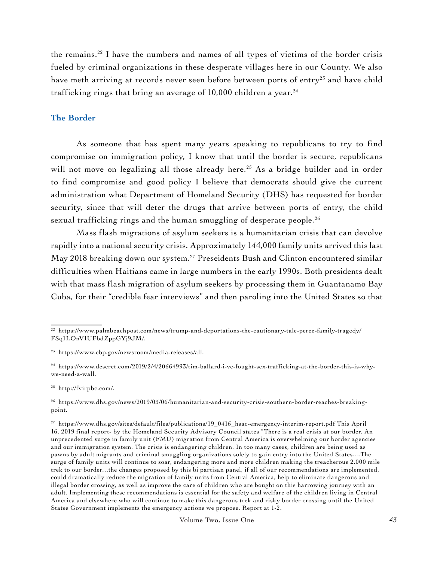the remains.22 I have the numbers and names of all types of victims of the border crisis fueled by criminal organizations in these desperate villages here in our County. We also have meth arriving at records never seen before between ports of entry<sup>23</sup> and have child trafficking rings that bring an average of  $10,000$  children a year.<sup>24</sup>

### **The Border**

As someone that has spent many years speaking to republicans to try to find compromise on immigration policy, I know that until the border is secure, republicans will not move on legalizing all those already here.<sup>25</sup> As a bridge builder and in order to find compromise and good policy I believe that democrats should give the current administration what Department of Homeland Security (DHS) has requested for border security, since that will deter the drugs that arrive between ports of entry, the child sexual trafficking rings and the human smuggling of desperate people.<sup>26</sup>

Mass flash migrations of asylum seekers is a humanitarian crisis that can devolve rapidly into a national security crisis. Approximately 144,000 family units arrived this last May 2018 breaking down our system.<sup>27</sup> Preseidents Bush and Clinton encountered similar difficulties when Haitians came in large numbers in the early 1990s. Both presidents dealt with that mass flash migration of asylum seekers by processing them in Guantanamo Bay Cuba, for their "credible fear interviews" and then paroling into the United States so that

<sup>&</sup>lt;sup>22</sup> [https://www.palmbeachpost.com/news/trump-and-deportations-the-cautionary-tale-perez-family-tragedy/](https://www.palmbeachpost.com/news/trump-and-deportations-the-cautionary-tale-perez-family-tragedy/FSq1LOnV1UFbdZppGYj9JM/) [FSq1LOnV1UFbdZppGYj9JM/.](https://www.palmbeachpost.com/news/trump-and-deportations-the-cautionary-tale-perez-family-tragedy/FSq1LOnV1UFbdZppGYj9JM/)

<sup>23</sup> <https://www.cbp.gov/newsroom/media-releases/all>.

<sup>24</sup> [https://www.deseret.com/2019/2/4/20664993/tim-ballard-i-ve-fought-sex-trafficking-at-the-border-this-is-why](https://www.deseret.com/2019/2/4/20664993/tim-ballard-i-ve-fought-sex-trafficking-at-the-border-this-is-why-we-need-a-wall)[we-need-a-wall.](https://www.deseret.com/2019/2/4/20664993/tim-ballard-i-ve-fought-sex-trafficking-at-the-border-this-is-why-we-need-a-wall)

<sup>25</sup> [http://fvirpbc.com/.](http://fvirpbc.com/)

<sup>26</sup> [https://www.dhs.gov/news/2019/03/06/humanitarian-and-security-crisis-southern-border-reaches-breaking](https://www.dhs.gov/news/2019/03/06/humanitarian-and-security-crisis-southern-border-reaches-breaking-point)[point](https://www.dhs.gov/news/2019/03/06/humanitarian-and-security-crisis-southern-border-reaches-breaking-point).

<sup>27</sup> [https://www.dhs.gov/sites/default/files/publications/19\\_0416\\_hsac-emergency-interim-report.pdf](https://www.dhs.gov/sites/default/files/publications/19_0416_hsac-emergency-interim-report.pdf) This April 16, 2019 final report- by the Homeland Security Advisory Council states "There is a real crisis at our border. An unprecedented surge in family unit (FMU) migration from Central America is overwhelming our border agencies and our immigration system. The crisis is endangering children. In too many cases, children are being used as pawns by adult migrants and criminal smuggling organizations solely to gain entry into the United States….The surge of family units will continue to soar, endangering more and more children making the treacherous 2,000 mile trek to our border…the changes proposed by this bi partisan panel, if all of our recommendations are implemented, could dramatically reduce the migration of family units from Central America, help to eliminate dangerous and illegal border crossing, as well as improve the care of children who are bought on this harrowing journey with an adult. Implementing these recommendations is essential for the safety and welfare of the children living in Central America and elsewhere who will continue to make this dangerous trek and risky border crossing until the United States Government implements the emergency actions we propose. Report at 1-2.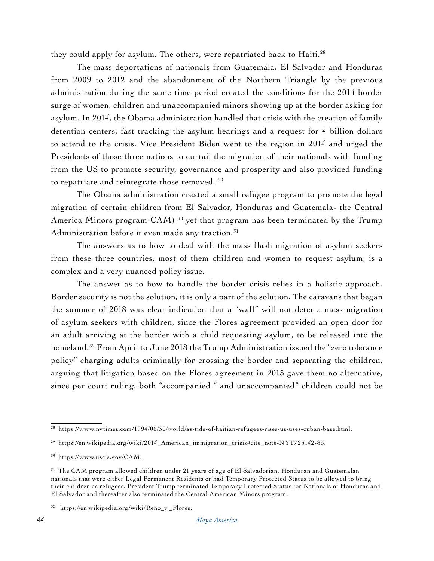they could apply for asylum. The others, were repatriated back to Haiti.<sup>28</sup>

The mass deportations of nationals from Guatemala, El Salvador and Honduras from 2009 to 2012 and the abandonment of the Northern Triangle by the previous administration during the same time period created the conditions for the 2014 border surge of women, children and unaccompanied minors showing up at the border asking for asylum. In 2014, the Obama administration handled that crisis with the creation of family detention centers, fast tracking the asylum hearings and a request for 4 billion dollars to attend to the crisis. Vice President Biden went to the region in 2014 and urged the Presidents of those three nations to curtail the migration of their nationals with funding from the US to promote security, governance and prosperity and also provided funding to repatriate and reintegrate those removed.<sup>29</sup>

The Obama administration created a small refugee program to promote the legal migration of certain children from El Salvador, Honduras and Guatemala- the Central America Minors program-CAM)<sup>30</sup> yet that program has been terminated by the Trump Administration before it even made any traction.<sup>31</sup>

The answers as to how to deal with the mass flash migration of asylum seekers from these three countries, most of them children and women to request asylum, is a complex and a very nuanced policy issue.

The answer as to how to handle the border crisis relies in a holistic approach. Border security is not the solution, it is only a part of the solution. The caravans that began the summer of 2018 was clear indication that a "wall" will not deter a mass migration of asylum seekers with children, since the Flores agreement provided an open door for an adult arriving at the border with a child requesting asylum, to be released into the homeland.<sup>32</sup> From April to June 2018 the Trump Administration issued the "zero tolerance policy" charging adults criminally for crossing the border and separating the children, arguing that litigation based on the Flores agreement in 2015 gave them no alternative, since per court ruling, both "accompanied " and unaccompanied" children could not be

<sup>28</sup> [https://www.nytimes.com/1994/06/30/world/as-tide-of-haitian-refugees-rises-us-uses-cuban-base.html.](https://www.nytimes.com/1994/06/30/world/as-tide-of-haitian-refugees-rises-us-uses-cuban-base.html)

<sup>29</sup> [https://en.wikipedia.org/wiki/2014\\_American\\_immigration\\_crisis#cite\\_note-NYT723142-83.](https://en.wikipedia.org/wiki/2014_American_immigration_crisis#cite_note-NYT723142-83)

<sup>30</sup> [https://www.uscis.gov/CAM.](https://www.uscis.gov/CAM)

<sup>&</sup>lt;sup>31</sup> The CAM program allowed children under 21 years of age of El Salvadorian, Honduran and Guatemalan nationals that were either Legal Permanent Residents or had Temporary Protected Status to be allowed to bring their children as refugees. President Trump terminated Temporary Protected Status for Nationals of Honduras and El Salvador and thereafter also terminated the Central American Minors program.

<sup>32</sup> [https://en.wikipedia.org/wiki/Reno\\_v.\\_Flores](https://en.wikipedia.org/wiki/Reno_v._Flores).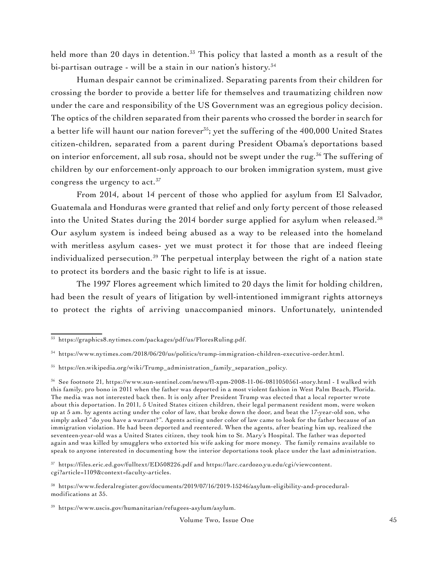held more than 20 days in detention.<sup>33</sup> This policy that lasted a month as a result of the bi-partisan outrage - will be a stain in our nation's history.<sup>34</sup>

Human despair cannot be criminalized. Separating parents from their children for crossing the border to provide a better life for themselves and traumatizing children now under the care and responsibility of the US Government was an egregious policy decision. The optics of the children separated from their parents who crossed the border in search for a better life will haunt our nation forever<sup>35</sup>; yet the suffering of the 400,000 United States citizen-children, separated from a parent during President Obama's deportations based on interior enforcement, all sub rosa, should not be swept under the rug.<sup>36</sup> The suffering of children by our enforcement-only approach to our broken immigration system, must give congress the urgency to act.<sup>37</sup>

From 2014, about 14 percent of those who applied for asylum from El Salvador, Guatemala and Honduras were granted that relief and only forty percent of those released into the United States during the 2014 border surge applied for asylum when released.<sup>38</sup> Our asylum system is indeed being abused as a way to be released into the homeland with meritless asylum cases- yet we must protect it for those that are indeed fleeing individualized persecution.<sup>39</sup> The perpetual interplay between the right of a nation state to protect its borders and the basic right to life is at issue.

The 1997 Flores agreement which limited to 20 days the limit for holding children, had been the result of years of litigation by well-intentioned immigrant rights attorneys to protect the rights of arriving unaccompanied minors. Unfortunately, unintended

<sup>33</sup> <https://graphics8.nytimes.com/packages/pdf/us/FloresRuling.pdf>.

<sup>34</sup> [https://www.nytimes.com/2018/06/20/us/politics/trump-immigration-children-executive-order.html.](https://www.nytimes.com/2018/06/20/us/politics/trump-immigration-children-executive-order.html)

<sup>35</sup> [https://en.wikipedia.org/wiki/Trump\\_administration\\_family\\_separation\\_policy](https://en.wikipedia.org/wiki/Trump_administration_family_separation_policy).

<sup>36</sup> See footnote 21, <https://www.sun-sentinel.com/news/fl-xpm-2008-11-06-0811050561-story.html>- I walked with this family, pro bono in 2011 when the father was deported in a most violent fashion in West Palm Beach, Florida. The media was not interested back then. It is only after President Trump was elected that a local reporter wrote about this deportation. In 2011, 5 United States citizen children, their legal permanent resident mom, were woken up at 5 am. by agents acting under the color of law, that broke down the door, and beat the 17-year-old son, who simply asked "do you have a warrant?". Agents acting under color of law came to look for the father because of an immigration violation. He had been deported and reentered. When the agents, after beating him up, realized the seventeen-year-old was a United States citizen, they took him to St. Mary's Hospital. The father was deported again and was killed by smugglers who extorted his wife asking for more money. The family remains available to speak to anyone interested in documenting how the interior deportations took place under the last administration.

<sup>37</sup> <https://files.eric.ed.gov/fulltext/ED508226.pdf> and [https://larc.cardozo.yu.edu/cgi/viewcontent.](https://larc.cardozo.yu.edu/cgi/viewcontent.cgi?article=1109&context=faculty-articles) [cgi?article=1109&context=faculty-articles](https://larc.cardozo.yu.edu/cgi/viewcontent.cgi?article=1109&context=faculty-articles).

<sup>38</sup> [https://www.federalregister.gov/documents/2019/07/16/2019-15246/asylum-eligibility-and-procedural](https://www.federalregister.gov/documents/2019/07/16/2019-15246/asylum-eligibility-and-procedural-modifications)[modifications](https://www.federalregister.gov/documents/2019/07/16/2019-15246/asylum-eligibility-and-procedural-modifications) at 35.

<sup>39</sup> <https://www.uscis.gov/humanitarian/refugees-asylum/asylum>.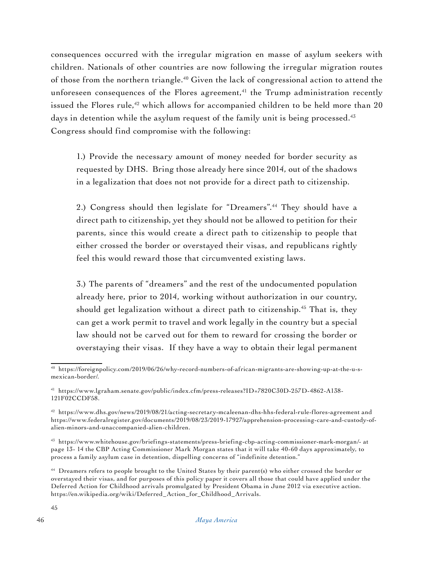consequences occurred with the irregular migration en masse of asylum seekers with children. Nationals of other countries are now following the irregular migration routes of those from the northern triangle.40 Given the lack of congressional action to attend the unforeseen consequences of the Flores agreement, $41$  the Trump administration recently issued the Flores rule,<sup>42</sup> which allows for accompanied children to be held more than  $20$ days in detention while the asylum request of the family unit is being processed.<sup>43</sup> Congress should find compromise with the following:

1.) Provide the necessary amount of money needed for border security as requested by DHS. Bring those already here since 2014, out of the shadows in a legalization that does not not provide for a direct path to citizenship.

2.) Congress should then legislate for "Dreamers".<sup>44</sup> They should have a direct path to citizenship, yet they should not be allowed to petition for their parents, since this would create a direct path to citizenship to people that either crossed the border or overstayed their visas, and republicans rightly feel this would reward those that circumvented existing laws.

3.) The parents of "dreamers" and the rest of the undocumented population already here, prior to 2014, working without authorization in our country, should get legalization without a direct path to citizenship.<sup>45</sup> That is, they can get a work permit to travel and work legally in the country but a special law should not be carved out for them to reward for crossing the border or overstaying their visas. If they have a way to obtain their legal permanent

<sup>40</sup> [https://foreignpolicy.com/2019/06/26/why-record-numbers-of-african-migrants-are-showing-up-at-the-u-s](https://foreignpolicy.com/2019/06/26/why-record-numbers-of-african-migrants-are-showing-up-at-the-u-s-mexican-border/)[mexican-border/.](https://foreignpolicy.com/2019/06/26/why-record-numbers-of-african-migrants-are-showing-up-at-the-u-s-mexican-border/)

<sup>41</sup> [https://www.lgraham.senate.gov/public/index.cfm/press-releases?ID=7820C30D-257D-4862-A138-](https://www.lgraham.senate.gov/public/index.cfm/press-releases?ID=7820C30D-257D-4862-A138-121F02CCDF58) [121F02CCDF58](https://www.lgraham.senate.gov/public/index.cfm/press-releases?ID=7820C30D-257D-4862-A138-121F02CCDF58).

<sup>42</sup> <https://www.dhs.gov/news/2019/08/21/acting-secretary-mcaleenan-dhs-hhs-federal-rule-flores-agreement>and [https://www.federalregister.gov/documents/2019/08/23/2019-17927/apprehension-processing-care-and-custody-of](https://www.federalregister.gov/documents/2019/08/23/2019-17927/apprehension-processing-care-and-custody-of-alien-minors-and-unaccompanied-alien-children)[alien-minors-and-unaccompanied-alien-children](https://www.federalregister.gov/documents/2019/08/23/2019-17927/apprehension-processing-care-and-custody-of-alien-minors-and-unaccompanied-alien-children).

<sup>43</sup> <https://www.whitehouse.gov/briefings-statements/press-briefing-cbp-acting-commissioner-mark-morgan/-> at page 13- 14 the CBP Acting Commissioner Mark Morgan states that it will take 40-60 days approximately, to process a family asylum case in detention, dispelling concerns of "indefinite detention."

<sup>44</sup> Dreamers refers to people brought to the United States by their parent(s) who either crossed the border or overstayed their visas, and for purposes of this policy paper it covers all those that could have applied under the Deferred Action for Childhood arrivals promulgated by President Obama in June 2012 via executive action. [https://en.wikipedia.org/wiki/Deferred\\_Action\\_for\\_Childhood\\_Arrivals.](https://en.wikipedia.org/wiki/Deferred_Action_for_Childhood_Arrivals)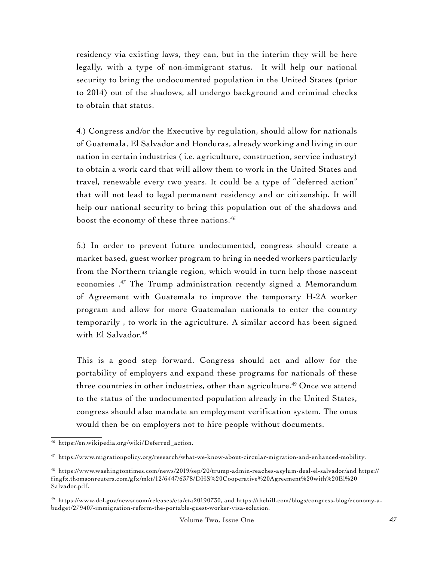residency via existing laws, they can, but in the interim they will be here legally, with a type of non-immigrant status. It will help our national security to bring the undocumented population in the United States (prior to 2014) out of the shadows, all undergo background and criminal checks to obtain that status.

4.) Congress and/or the Executive by regulation, should allow for nationals of Guatemala, El Salvador and Honduras, already working and living in our nation in certain industries ( i.e. agriculture, construction, service industry) to obtain a work card that will allow them to work in the United States and travel, renewable every two years. It could be a type of "deferred action" that will not lead to legal permanent residency and or citizenship. It will help our national security to bring this population out of the shadows and boost the economy of these three nations.<sup>46</sup>

5.) In order to prevent future undocumented, congress should create a market based, guest worker program to bring in needed workers particularly from the Northern triangle region, which would in turn help those nascent economies .47 The Trump administration recently signed a Memorandum of Agreement with Guatemala to improve the temporary H-2A worker program and allow for more Guatemalan nationals to enter the country temporarily , to work in the agriculture. A similar accord has been signed with El Salvador.<sup>48</sup>

This is a good step forward. Congress should act and allow for the portability of employers and expand these programs for nationals of these three countries in other industries, other than agriculture.<sup>49</sup> Once we attend to the status of the undocumented population already in the United States, congress should also mandate an employment verification system. The onus would then be on employers not to hire people without documents.

<sup>46</sup> [https://en.wikipedia.org/wiki/Deferred\\_action.](https://en.wikipedia.org/wiki/Deferred_action)

<sup>47</sup> <https://www.migrationpolicy.org/research/what-we-know-about-circular-migration-and-enhanced-mobility>.

<sup>48</sup> <https://www.washingtontimes.com/news/2019/sep/20/trump-admin-reaches-asylum-deal-el-salvador/and>[https://](https://fingfx.thomsonreuters.com/gfx/mkt/12/6447/6378/DHS%20Cooperative%20Agreement%20with%20El%20Salvador.pdf) [fingfx.thomsonreuters.com/gfx/mkt/12/6447/6378/DHS%20Cooperative%20Agreement%20with%20El%20](https://fingfx.thomsonreuters.com/gfx/mkt/12/6447/6378/DHS%20Cooperative%20Agreement%20with%20El%20Salvador.pdf) [Salvador.pdf.](https://fingfx.thomsonreuters.com/gfx/mkt/12/6447/6378/DHS%20Cooperative%20Agreement%20with%20El%20Salvador.pdf)

<sup>49</sup> [https://www.dol.gov/newsroom/releases/eta/eta20190730,](https://www.dol.gov/newsroom/releases/eta/eta20190730) and [https://thehill.com/blogs/congress-blog/economy-a](https://thehill.com/blogs/congress-blog/economy-a-budget/279407-immigration-reform-the-portable-guest-worker-visa-solution)[budget/279407-immigration-reform-the-portable-guest-worker-visa-solution.](https://thehill.com/blogs/congress-blog/economy-a-budget/279407-immigration-reform-the-portable-guest-worker-visa-solution)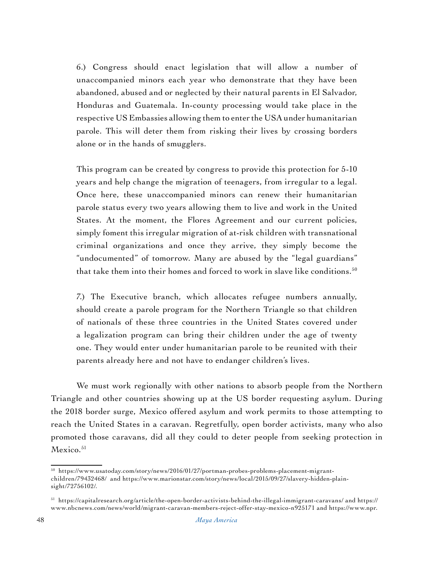6.) Congress should enact legislation that will allow a number of unaccompanied minors each year who demonstrate that they have been abandoned, abused and or neglected by their natural parents in El Salvador, Honduras and Guatemala. In-county processing would take place in the respective US Embassies allowing them to enter the USA under humanitarian parole. This will deter them from risking their lives by crossing borders alone or in the hands of smugglers.

This program can be created by congress to provide this protection for 5-10 years and help change the migration of teenagers, from irregular to a legal. Once here, these unaccompanied minors can renew their humanitarian parole status every two years allowing them to live and work in the United States. At the moment, the Flores Agreement and our current policies, simply foment this irregular migration of at-risk children with transnational criminal organizations and once they arrive, they simply become the "undocumented" of tomorrow. Many are abused by the "legal guardians" that take them into their homes and forced to work in slave like conditions. $^{50}$ 

7.) The Executive branch, which allocates refugee numbers annually, should create a parole program for the Northern Triangle so that children of nationals of these three countries in the United States covered under a legalization program can bring their children under the age of twenty one. They would enter under humanitarian parole to be reunited with their parents already here and not have to endanger children's lives.

We must work regionally with other nations to absorb people from the Northern Triangle and other countries showing up at the US border requesting asylum. During the 2018 border surge, Mexico offered asylum and work permits to those attempting to reach the United States in a caravan. Regretfully, open border activists, many who also promoted those caravans, did all they could to deter people from seeking protection in Mexico.<sup>51</sup>

<sup>50</sup> [https://www.usatoday.com/story/news/2016/01/27/portman-probes-problems-placement-migrant](https://www.usatoday.com/story/news/2016/01/27/portman-probes-problems-placement-migrant-children/79432468/)[children/79432468/](https://www.usatoday.com/story/news/2016/01/27/portman-probes-problems-placement-migrant-children/79432468/) and [https://www.marionstar.com/story/news/local/2015/09/27/slavery-hidden-plain](https://www.marionstar.com/story/news/local/2015/09/27/slavery-hidden-plain-sight/72756102/)[sight/72756102/.](https://www.marionstar.com/story/news/local/2015/09/27/slavery-hidden-plain-sight/72756102/)

<sup>51</sup> <https://capitalresearch.org/article/the-open-border-activists-behind-the-illegal-immigrant-caravans/>and [https://](https://www.nbcnews.com/news/world/migrant-caravan-members-reject-offer-stay-mexico-n925171) [www.nbcnews.com/news/world/migrant-caravan-members-reject-offer-stay-mexico-n925171](https://www.nbcnews.com/news/world/migrant-caravan-members-reject-offer-stay-mexico-n925171) and [https://www.npr.](https://www.npr.org/2018/10/29/661676110/mexico-offers-caravan-members-work-visas-if-they-stay-in-southern-mexico)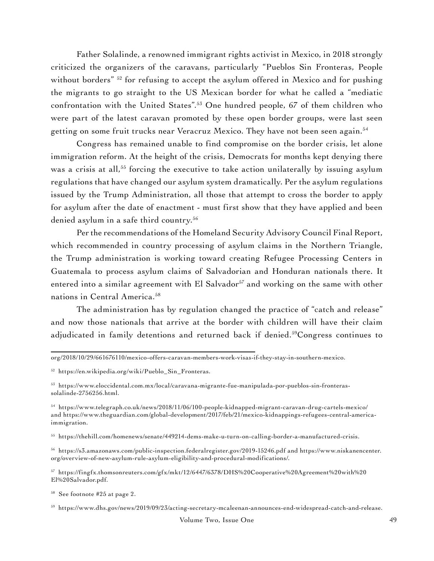Father Solalinde, a renowned immigrant rights activist in Mexico, in 2018 strongly criticized the organizers of the caravans, particularly "Pueblos Sin Fronteras, People without borders" <sup>52</sup> for refusing to accept the asylum offered in Mexico and for pushing the migrants to go straight to the US Mexican border for what he called a "mediatic confrontation with the United States".53 One hundred people, 67 of them children who were part of the latest caravan promoted by these open border groups, were last seen getting on some fruit trucks near Veracruz Mexico. They have not been seen again.<sup>54</sup>

Congress has remained unable to find compromise on the border crisis, let alone immigration reform. At the height of the crisis, Democrats for months kept denying there was a crisis at all,<sup>55</sup> forcing the executive to take action unilaterally by issuing asylum regulations that have changed our asylum system dramatically. Per the asylum regulations issued by the Trump Administration, all those that attempt to cross the border to apply for asylum after the date of enactment - must first show that they have applied and been denied asylum in a safe third country.<sup>56</sup>

Per the recommendations of the Homeland Security Advisory Council Final Report, which recommended in country processing of asylum claims in the Northern Triangle, the Trump administration is working toward creating Refugee Processing Centers in Guatemala to process asylum claims of Salvadorian and Honduran nationals there. It entered into a similar agreement with El Salvador<sup>57</sup> and working on the same with other nations in Central America.<sup>58</sup>

The administration has by regulation changed the practice of "catch and release" and now those nationals that arrive at the border with children will have their claim adjudicated in family detentions and returned back if denied.<sup>59</sup>Congress continues to

56 <https://s3.amazonaws.com/public-inspection.federalregister.gov/2019-15246.pdf> and [https://www.niskanencenter.](https://www.niskanencenter.org/overview-of-new-asylum-rule-asylum-eligibility-and-procedural-modifications/) [org/overview-of-new-asylum-rule-asylum-eligibility-and-procedural-modifications/](https://www.niskanencenter.org/overview-of-new-asylum-rule-asylum-eligibility-and-procedural-modifications/).

[org/2018/10/29/661676110/mexico-offers-caravan-members-work-visas-if-they-stay-in-southern-mexico](https://www.npr.org/2018/10/29/661676110/mexico-offers-caravan-members-work-visas-if-they-stay-in-southern-mexico).

<sup>&</sup>lt;sup>52</sup> [https://en.wikipedia.org/wiki/Pueblo\\_Sin\\_Fronteras.](https://en.wikipedia.org/wiki/Pueblo_Sin_Fronteras)

<sup>53</sup> [https://www.eloccidental.com.mx/local/caravana-migrante-fue-manipulada-por-pueblos-sin-fronteras](https://www.eloccidental.com.mx/local/caravana-migrante-fue-manipulada-por-pueblos-sin-fronteras-solalinde-2756256.html)[solalinde-2756256.html](https://www.eloccidental.com.mx/local/caravana-migrante-fue-manipulada-por-pueblos-sin-fronteras-solalinde-2756256.html).

<sup>54</sup> <https://www.telegraph.co.uk/news/2018/11/06/100-people-kidnapped-migrant-caravan-drug-cartels-mexico/> and [https://www.theguardian.com/global-development/2017/feb/21/mexico-kidnappings-refugees-central-america](https://www.theguardian.com/global-development/2017/feb/21/mexico-kidnappings-refugees-central-america-immigration)[immigration.](https://www.theguardian.com/global-development/2017/feb/21/mexico-kidnappings-refugees-central-america-immigration)

<sup>55</sup> <https://thehill.com/homenews/senate/449214-dems-make-u-turn-on-calling-border-a-manufactured-crisis>.

<sup>57</sup> [https://fingfx.thomsonreuters.com/gfx/mkt/12/6447/6378/DHS%20Cooperative%20Agreement%20with%20](https://fingfx.thomsonreuters.com/gfx/mkt/12/6447/6378/DHS%20Cooperative%20Agreement%20with%20El%20Salvador.pdf) [El%20Salvador.pdf](https://fingfx.thomsonreuters.com/gfx/mkt/12/6447/6378/DHS%20Cooperative%20Agreement%20with%20El%20Salvador.pdf).

<sup>58</sup> See footnote #25 at page 2.

<sup>59</sup> [https://www.dhs.gov/news/2019/09/23/acting-secretary-mcaleenan-announces-end-widespread-catch-and-release.](https://www.dhs.gov/news/2019/09/23/acting-secretary-mcaleenan-announces-end-widespread-catch-and-release)